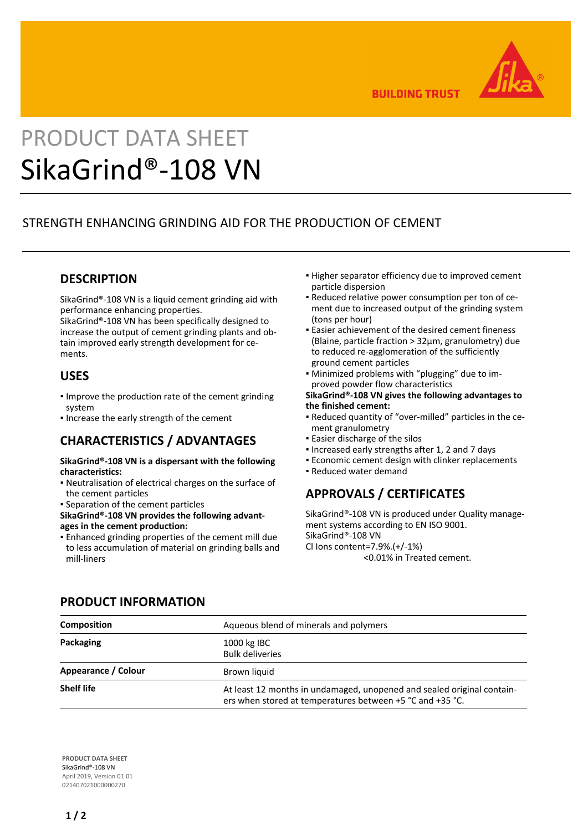

**BUILDING TRUST** 

# PRODUCT DATA SHEET SikaGrind®-108 VN

# STRENGTH ENHANCING GRINDING AID FOR THE PRODUCTION OF CEMENT

# **DESCRIPTION**

SikaGrind®-108 VN is a liquid cement grinding aid with performance enhancing properties.

SikaGrind®-108 VN has been specifically designed to increase the output of cement grinding plants and obtain improved early strength development for cements.

## **USES**

- **.** Improve the production rate of the cement grinding system
- **.** Increase the early strength of the cement

## **CHARACTERISTICS / ADVANTAGES**

#### **SikaGrind®-108 VN is a dispersant with the following characteristics:**

- Neutralisation of electrical charges on the surface of the cement particles
- Separation of the cement particles
- **SikaGrind®-108 VN provides the following advantages in the cement production:**
- Enhanced grinding properties of the cement mill due to less accumulation of material on grinding balls and mill-liners
- **.** Higher separator efficiency due to improved cement particle dispersion
- Reduced relative power consumption per ton of ce-▪ ment due to increased output of the grinding system (tons per hour)
- Easier achievement of the desired cement fineness (Blaine, particle fraction > 32μm, granulometry) due to reduced re-agglomeration of the sufficiently ground cement particles
- Minimized problems with "plugging" due to im-▪ proved powder flow characteristics

#### **SikaGrind®-108 VN gives the following advantages to the finished cement:**

- Reduced quantity of "over-milled" particles in the ce-▪ ment granulometry
- **Easier discharge of the silos**
- Increased early strengths after 1, 2 and 7 days
- **Economic cement design with clinker replacements**
- Reduced water demand

# **APPROVALS / CERTIFICATES**

SikaGrind®-108 VN is produced under Quality management systems according to EN ISO 9001. SikaGrind®-108 VN Cl Ions content=7.9%.(+/-1%) <0.01% in Treated cement.

| <b>Composition</b>  | Aqueous blend of minerals and polymers                                                                                              |
|---------------------|-------------------------------------------------------------------------------------------------------------------------------------|
| Packaging           | 1000 kg IBC<br><b>Bulk deliveries</b>                                                                                               |
| Appearance / Colour | Brown liquid                                                                                                                        |
| <b>Shelf life</b>   | At least 12 months in undamaged, unopened and sealed original contain-<br>ers when stored at temperatures between +5 °C and +35 °C. |

**PRODUCT INFORMATION**

**PRODUCT DATA SHEET** SikaGrind®-108 VN April 2019, Version 01.01 021407021000000270